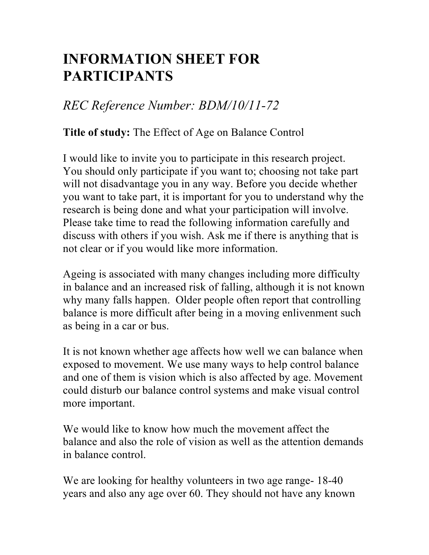## **INFORMATION SHEET FOR PARTICIPANTS**

## *REC Reference Number: BDM/10/11-72*

## **Title of study:** The Effect of Age on Balance Control

I would like to invite you to participate in this research project. You should only participate if you want to; choosing not take part will not disadvantage you in any way. Before you decide whether you want to take part, it is important for you to understand why the research is being done and what your participation will involve. Please take time to read the following information carefully and discuss with others if you wish. Ask me if there is anything that is not clear or if you would like more information.

Ageing is associated with many changes including more difficulty in balance and an increased risk of falling, although it is not known why many falls happen. Older people often report that controlling balance is more difficult after being in a moving enlivenment such as being in a car or bus.

It is not known whether age affects how well we can balance when exposed to movement. We use many ways to help control balance and one of them is vision which is also affected by age. Movement could disturb our balance control systems and make visual control more important.

We would like to know how much the movement affect the balance and also the role of vision as well as the attention demands in balance control.

We are looking for healthy volunteers in two age range- 18-40 years and also any age over 60. They should not have any known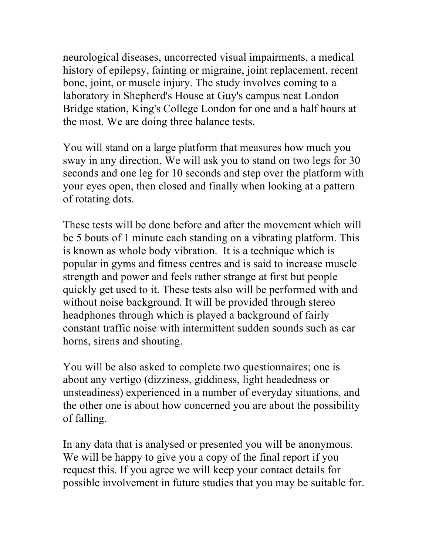neurological diseases, uncorrected visual impairments, a medical history of epilepsy, fainting or migraine, joint replacement, recent bone, joint, or muscle injury. The study involves coming to a laboratory in Shepherd's House at Guy's campus neat London Bridge station, King's College London for one and a half hours at the most. We are doing three balance tests.

You will stand on a large platform that measures how much you sway in any direction. We will ask you to stand on two legs for 30 seconds and one leg for 10 seconds and step over the platform with your eyes open, then closed and finally when looking at a pattern of rotating dots.

These tests will be done before and after the movement which will be 5 bouts of 1 minute each standing on a vibrating platform. This is known as whole body vibration. It is a technique which is popular in gyms and fitness centres and is said to increase muscle strength and power and feels rather strange at first but people quickly get used to it. These tests also will be performed with and without noise background. It will be provided through stereo headphones through which is played a background of fairly constant traffic noise with intermittent sudden sounds such as car horns, sirens and shouting.

You will be also asked to complete two questionnaires; one is about any vertigo (dizziness, giddiness, light headedness or unsteadiness) experienced in a number of everyday situations, and the other one is about how concerned you are about the possibility of falling.

In any data that is analysed or presented you will be anonymous. We will be happy to give you a copy of the final report if you request this. If you agree we will keep your contact details for possible involvement in future studies that you may be suitable for.